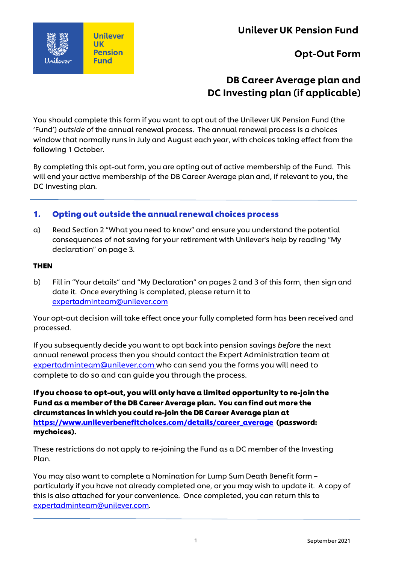Unilever UK Pension Fund



## Opt-Out Form

# DB Career Average plan and DC Investing plan (if applicable)

You should complete this form if you want to opt out of the Unilever UK Pension Fund (the 'Fund') *outside o*f the annual renewal process. The annual renewal process is a choices window that normally runs in July and August each year, with choices taking effect from the following 1 October.

By completing this opt-out form, you are opting out of active membership of the Fund. This will end your active membership of the DB Career Average plan and, if relevant to you, the DC Investing plan.

## 1. Opting out outside the annual renewal choices process

a) Read Section 2 "What you need to know" and ensure you understand the potential consequences of not saving for your retirement with Unilever's help by reading "My declaration" on page 3.

### THEN

b) Fill in "Your details" and "My Declaration" on pages 2 and 3 of this form, then sign and date it. Once everything is completed, please return it to [expertadminteam@unilever.com](mailto:expertadminteam@unilever.com)

Your opt-out decision will take effect once your fully completed form has been received and processed.

If you subsequently decide you want to opt back into pension savings *before t*he next annual renewal process then you should contact the Expert Administration team at [expertadminteam@unilever.com](mailto:expertadminteam@unilever.com) who can send you the forms you will need to complete to do so and can guide you through the process.

If you choose to opt-out, you will only have a limited opportunity to re-join the Fund as a member of the DB Career Average plan. You can find out more the circumstances in which you could re-join the DB Career Average plan at [https://www.unileverbenefitchoices.com/details/career\\_average](https://www.unileverbenefitchoices.com/details/career_average) (password: mychoices).

These restrictions do not apply to re-joining the Fund as a DC member of the Investing Plan.

You may also want to complete a Nomination for Lump Sum Death Benefit form – particularly if you have not already completed one, or you may wish to update it. A copy of this is also attached for your convenience. Once completed, you can return this to [expertadminteam@unilever.com.](mailto:expertadminteam@unilever.com)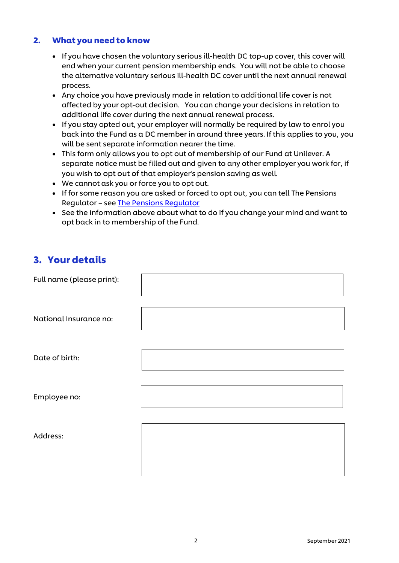## 2. What you needto know

- If you have chosen the voluntary serious ill-health DC top-up cover, this cover will end when your current pension membership ends. You will not be able to choose the alternative voluntary serious ill-health DC cover until the next annual renewal process.
- Any choice you have previously made in relation to additional life cover is not affected by your opt-out decision. You can change your decisions in relation to additional life cover during the next annual renewal process.
- If you stay opted out, your employer will normally be required by law to enrol you back into the Fund as a DC member in around three years. If this applies to you, you will be sent separate information nearer the time.
- This form only allows you to opt out of membership of our Fund at Unilever. A separate notice must be filled out and given to any other employer you work for, if you wish to opt out of that employer's pension saving as well.
- We cannot ask you or force you to opt out.
- If for some reason you are asked or forced to opt out, you can tell The Pensions Regulator – see [The Pensions Regulator](https://www.thepensionsregulator.gov.uk/)
- See the information above about what to do if you change your mind and want to opt back in to membership of the Fund.

## 3. Your details

| Full name (please print): |  |
|---------------------------|--|
| National Insurance no:    |  |
| Date of birth:            |  |
| Employee no:              |  |
| Address:                  |  |
|                           |  |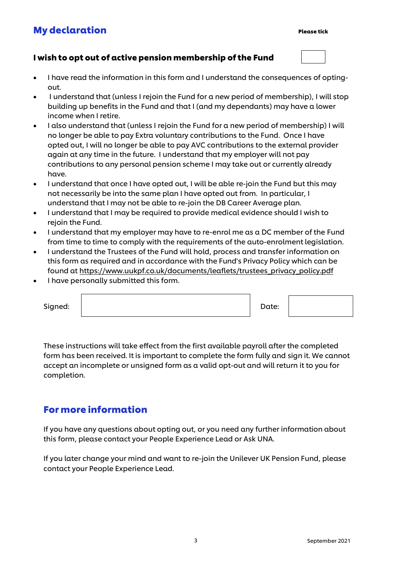# **My declaration**

## I wish to opt out of active pension membership of the Fund

- I have read the information in this form and I understand the consequences of optingout.
- I understand that (unless I rejoin the Fund for a new period of membership), I will stop building up benefits in the Fund and that I (and my dependants) may have a lower income when I retire.
- I also understand that (unless I rejoin the Fund for a new period of membership) I will no longer be able to pay Extra voluntary contributions to the Fund. Once I have opted out, I will no longer be able to pay AVC contributions to the external provider again at any time in the future. I understand that my employer will not pay contributions to any personal pension scheme I may take out or currently already have.
- I understand that once I have opted out, I will be able re-join the Fund but this may not necessarily be into the same plan I have opted out from. In particular, I understand that I may not be able to re-join the DB Career Average plan.
- I understand that I may be required to provide medical evidence should I wish to rejoin the Fund.
- I understand that my employer may have to re-enrol me as a DC member of the Fund from time to time to comply with the requirements of the auto-enrolment legislation.
- I understand the Trustees of the Fund will hold, process and transfer information on this form as required and in accordance with the Fund's Privacy Policy which can be found a[t https://www.uukpf.co.uk/documents/leaflets/trustees\\_privacy\\_policy.pdf](https://www.uukpf.co.uk/documents/leaflets/trustees_privacy_policy.pdf)
- I have personally submitted this form.

| Signed: | Date: |  |
|---------|-------|--|
|         |       |  |

These instructions will take effect from the first available payroll after the completed form has been received. It is important to complete the form fully and sign it. We cannot accept an incomplete or unsigned form as a valid opt-out and will return it to you for completion.

# Formore information

If you have any questions about opting out, or you need any further information about this form, please contact your People Experience Lead or Ask UNA.

If you later change your mind and want to re-join the Unilever UK Pension Fund, please contact your People Experience Lead.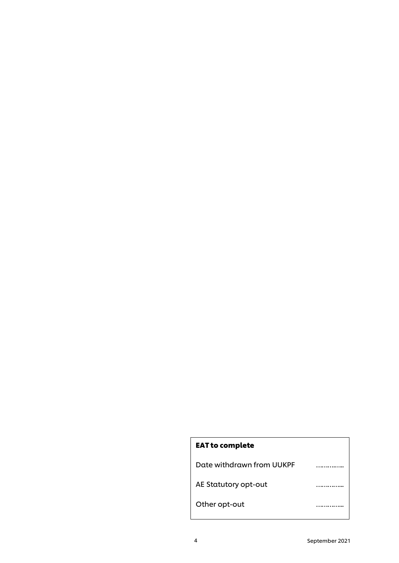# EAT to complete

Date withdrawn from UUKPF **22.2008** .................

AE Statutory opt-out **Example 20** minimum

Other opt-out **with a controller opt-out**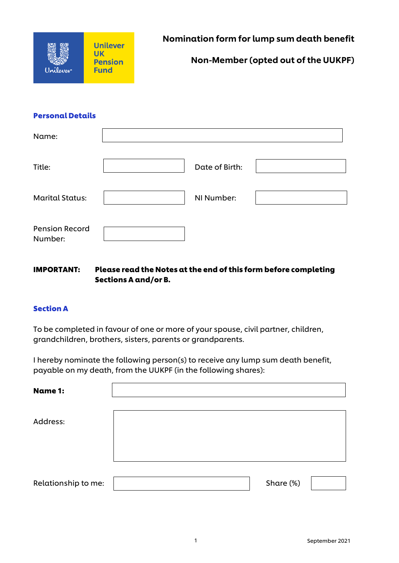

### Personal Details

| Name:                            |                |  |
|----------------------------------|----------------|--|
| Title:                           | Date of Birth: |  |
| <b>Marital Status:</b>           | NI Number:     |  |
| <b>Pension Record</b><br>Number: |                |  |

### IMPORTANT: Please read the Notes at the end of this form before completing Sections A and/or B.

### Section A

To be completed in favour of one or more of your spouse, civil partner, children, grandchildren, brothers, sisters, parents or grandparents.

I hereby nominate the following person(s) to receive any lump sum death benefit, payable on my death, from the UUKPF (in the following shares):

| <b>Name 1:</b>      |           |  |
|---------------------|-----------|--|
| Address:            |           |  |
|                     |           |  |
|                     |           |  |
| Relationship to me: | Share (%) |  |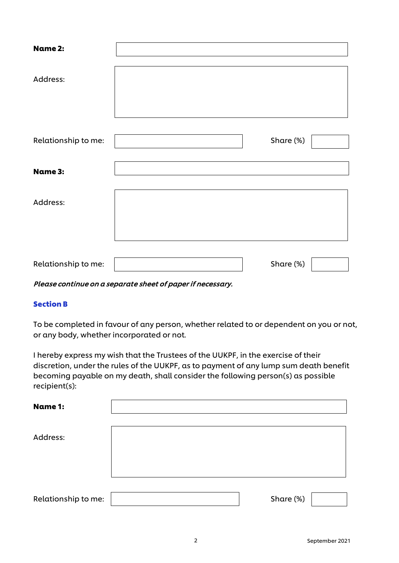| <b>Name 2:</b>      |           |  |
|---------------------|-----------|--|
| Address:            |           |  |
| Relationship to me: | Share (%) |  |
| <b>Name 3:</b>      |           |  |
| Address:            |           |  |
|                     |           |  |
| Relationship to me: | Share (%) |  |

#### Please continue on a separate sheet of paper if necessary.

### Section B

To be completed in favour of any person, whether related to or dependent on you or not, or any body, whether incorporated or not.

I hereby express my wish that the Trustees of the UUKPF, in the exercise of their discretion, under the rules of the UUKPF, as to payment of any lump sum death benefit becoming payable on my death, shall consider the following person(s) as possible recipient(s):

| <b>Name 1:</b>      |           |
|---------------------|-----------|
|                     |           |
| Address:            |           |
|                     |           |
|                     |           |
|                     |           |
| Relationship to me: | Share (%) |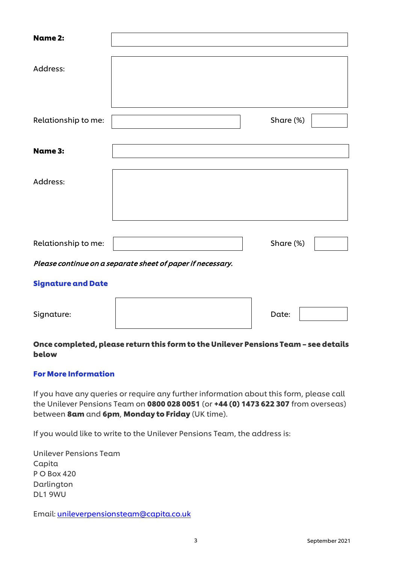| <b>Name 2:</b>                                             |  |           |  |  |
|------------------------------------------------------------|--|-----------|--|--|
| Address:                                                   |  |           |  |  |
| Relationship to me:                                        |  | Share (%) |  |  |
| <b>Name 3:</b>                                             |  |           |  |  |
| Address:                                                   |  |           |  |  |
| Relationship to me:                                        |  | Share (%) |  |  |
| Please continue on a separate sheet of paper if necessary. |  |           |  |  |
| <b>Signature and Date</b>                                  |  |           |  |  |

| Signature: | Date: |  |
|------------|-------|--|
|            |       |  |

## Once completed, please return this form to the Unilever Pensions Team – see details below

### For More Information

If you have any queries or require any further information about this form, please call the Unilever Pensions Team on 0800 028 0051 (or +44 (0) 1473 622 307 from overseas) between 8am and 6pm, Monday to Friday (UK time).

If you would like to write to the Unilever Pensions Team, the address is:

Unilever Pensions Team Capita P O Box 420 Darlington DL1 9WU

Email: [unileverpensionsteam@capita.co.uk](mailto:unileverpensionsteam@capita.co.uk)